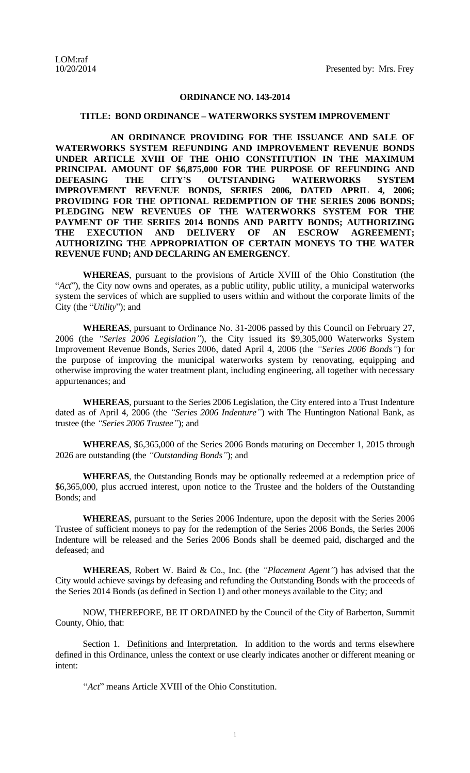## **ORDINANCE NO. 143-2014**

## **TITLE: BOND ORDINANCE – WATERWORKS SYSTEM IMPROVEMENT**

**AN ORDINANCE PROVIDING FOR THE ISSUANCE AND SALE OF WATERWORKS SYSTEM REFUNDING AND IMPROVEMENT REVENUE BONDS UNDER ARTICLE XVIII OF THE OHIO CONSTITUTION IN THE MAXIMUM PRINCIPAL AMOUNT OF \$6,875,000 FOR THE PURPOSE OF REFUNDING AND DEFEASING THE CITY'S OUTSTANDING WATERWORKS SYSTEM IMPROVEMENT REVENUE BONDS, SERIES 2006, DATED APRIL 4, 2006; PROVIDING FOR THE OPTIONAL REDEMPTION OF THE SERIES 2006 BONDS; PLEDGING NEW REVENUES OF THE WATERWORKS SYSTEM FOR THE PAYMENT OF THE SERIES 2014 BONDS AND PARITY BONDS; AUTHORIZING THE EXECUTION AND DELIVERY OF AN ESCROW AGREEMENT; AUTHORIZING THE APPROPRIATION OF CERTAIN MONEYS TO THE WATER REVENUE FUND; AND DECLARING AN EMERGENCY**.

**WHEREAS**, pursuant to the provisions of Article XVIII of the Ohio Constitution (the "*Act*"), the City now owns and operates, as a public utility, public utility, a municipal waterworks system the services of which are supplied to users within and without the corporate limits of the City (the "*Utility*"); and

**WHEREAS**, pursuant to Ordinance No. 31-2006 passed by this Council on February 27, 2006 (the *"Series 2006 Legislation"*), the City issued its \$9,305,000 Waterworks System Improvement Revenue Bonds, Series 2006, dated April 4, 2006 (the *"Series 2006 Bonds"*) for the purpose of improving the municipal waterworks system by renovating, equipping and otherwise improving the water treatment plant, including engineering, all together with necessary appurtenances; and

**WHEREAS**, pursuant to the Series 2006 Legislation, the City entered into a Trust Indenture dated as of April 4, 2006 (the *"Series 2006 Indenture"*) with The Huntington National Bank, as trustee (the *"Series 2006 Trustee"*); and

**WHEREAS**, \$6,365,000 of the Series 2006 Bonds maturing on December 1, 2015 through 2026 are outstanding (the *"Outstanding Bonds"*); and

**WHEREAS**, the Outstanding Bonds may be optionally redeemed at a redemption price of \$6,365,000, plus accrued interest, upon notice to the Trustee and the holders of the Outstanding Bonds; and

**WHEREAS**, pursuant to the Series 2006 Indenture, upon the deposit with the Series 2006 Trustee of sufficient moneys to pay for the redemption of the Series 2006 Bonds, the Series 2006 Indenture will be released and the Series 2006 Bonds shall be deemed paid, discharged and the defeased; and

**WHEREAS**, Robert W. Baird & Co., Inc. (the *"Placement Agent"*) has advised that the City would achieve savings by defeasing and refunding the Outstanding Bonds with the proceeds of the Series 2014 Bonds (as defined in Section 1) and other moneys available to the City; and

NOW, THEREFORE, BE IT ORDAINED by the Council of the City of Barberton, Summit County, Ohio, that:

Section 1. Definitions and Interpretation. In addition to the words and terms elsewhere defined in this Ordinance, unless the context or use clearly indicates another or different meaning or intent:

"*Act*" means Article XVIII of the Ohio Constitution.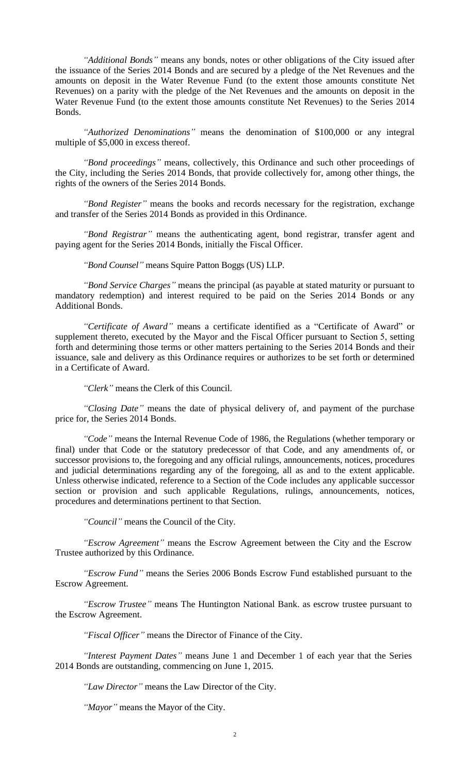*"Additional Bonds"* means any bonds, notes or other obligations of the City issued after the issuance of the Series 2014 Bonds and are secured by a pledge of the Net Revenues and the amounts on deposit in the Water Revenue Fund (to the extent those amounts constitute Net Revenues) on a parity with the pledge of the Net Revenues and the amounts on deposit in the Water Revenue Fund (to the extent those amounts constitute Net Revenues) to the Series 2014 Bonds.

*"Authorized Denominations"* means the denomination of \$100,000 or any integral multiple of \$5,000 in excess thereof.

*"Bond proceedings"* means, collectively, this Ordinance and such other proceedings of the City, including the Series 2014 Bonds, that provide collectively for, among other things, the rights of the owners of the Series 2014 Bonds.

*"Bond Register"* means the books and records necessary for the registration, exchange and transfer of the Series 2014 Bonds as provided in this Ordinance.

*"Bond Registrar"* means the authenticating agent, bond registrar, transfer agent and paying agent for the Series 2014 Bonds, initially the Fiscal Officer.

*"Bond Counsel"* means Squire Patton Boggs (US) LLP.

*"Bond Service Charges"* means the principal (as payable at stated maturity or pursuant to mandatory redemption) and interest required to be paid on the Series 2014 Bonds or any Additional Bonds.

*"Certificate of Award"* means a certificate identified as a "Certificate of Award" or supplement thereto, executed by the Mayor and the Fiscal Officer pursuant to Section 5, setting forth and determining those terms or other matters pertaining to the Series 2014 Bonds and their issuance, sale and delivery as this Ordinance requires or authorizes to be set forth or determined in a Certificate of Award.

*"Clerk"* means the Clerk of this Council.

*"Closing Date"* means the date of physical delivery of, and payment of the purchase price for, the Series 2014 Bonds.

*"Code"* means the Internal Revenue Code of 1986, the Regulations (whether temporary or final) under that Code or the statutory predecessor of that Code, and any amendments of, or successor provisions to, the foregoing and any official rulings, announcements, notices, procedures and judicial determinations regarding any of the foregoing, all as and to the extent applicable. Unless otherwise indicated, reference to a Section of the Code includes any applicable successor section or provision and such applicable Regulations, rulings, announcements, notices, procedures and determinations pertinent to that Section.

*"Council"* means the Council of the City.

*"Escrow Agreement"* means the Escrow Agreement between the City and the Escrow Trustee authorized by this Ordinance.

*"Escrow Fund"* means the Series 2006 Bonds Escrow Fund established pursuant to the Escrow Agreement.

*"Escrow Trustee"* means The Huntington National Bank. as escrow trustee pursuant to the Escrow Agreement.

*"Fiscal Officer"* means the Director of Finance of the City.

*"Interest Payment Dates"* means June 1 and December 1 of each year that the Series 2014 Bonds are outstanding, commencing on June 1, 2015.

*"Law Director"* means the Law Director of the City.

*"Mayor"* means the Mayor of the City.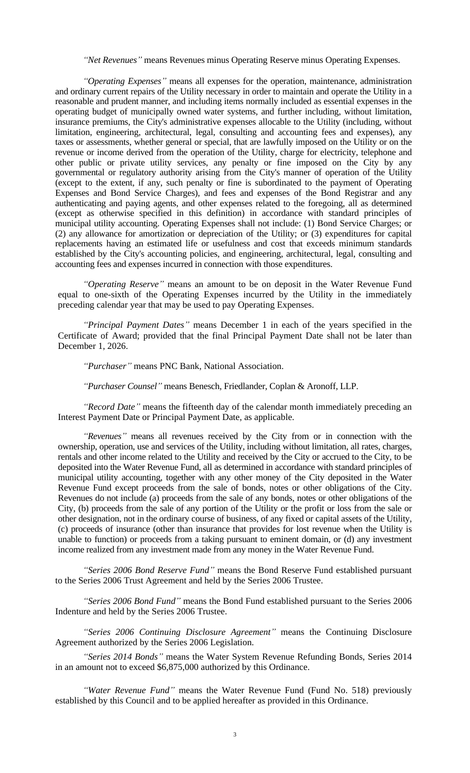*"Net Revenues"* means Revenues minus Operating Reserve minus Operating Expenses.

*"Operating Expenses"* means all expenses for the operation, maintenance, administration and ordinary current repairs of the Utility necessary in order to maintain and operate the Utility in a reasonable and prudent manner, and including items normally included as essential expenses in the operating budget of municipally owned water systems, and further including, without limitation, insurance premiums, the City's administrative expenses allocable to the Utility (including, without limitation, engineering, architectural, legal, consulting and accounting fees and expenses), any taxes or assessments, whether general or special, that are lawfully imposed on the Utility or on the revenue or income derived from the operation of the Utility, charge for electricity, telephone and other public or private utility services, any penalty or fine imposed on the City by any governmental or regulatory authority arising from the City's manner of operation of the Utility (except to the extent, if any, such penalty or fine is subordinated to the payment of Operating Expenses and Bond Service Charges), and fees and expenses of the Bond Registrar and any authenticating and paying agents, and other expenses related to the foregoing, all as determined (except as otherwise specified in this definition) in accordance with standard principles of municipal utility accounting. Operating Expenses shall not include: (1) Bond Service Charges; or (2) any allowance for amortization or depreciation of the Utility; or (3) expenditures for capital replacements having an estimated life or usefulness and cost that exceeds minimum standards established by the City's accounting policies, and engineering, architectural, legal, consulting and accounting fees and expenses incurred in connection with those expenditures.

*"Operating Reserve"* means an amount to be on deposit in the Water Revenue Fund equal to one-sixth of the Operating Expenses incurred by the Utility in the immediately preceding calendar year that may be used to pay Operating Expenses.

*"Principal Payment Dates"* means December 1 in each of the years specified in the Certificate of Award; provided that the final Principal Payment Date shall not be later than December 1, 2026.

*"Purchaser"* means PNC Bank, National Association.

*"Purchaser Counsel"* means Benesch, Friedlander, Coplan & Aronoff, LLP.

*"Record Date"* means the fifteenth day of the calendar month immediately preceding an Interest Payment Date or Principal Payment Date, as applicable.

*"Revenues"* means all revenues received by the City from or in connection with the ownership, operation, use and services of the Utility, including without limitation, all rates, charges, rentals and other income related to the Utility and received by the City or accrued to the City, to be deposited into the Water Revenue Fund, all as determined in accordance with standard principles of municipal utility accounting, together with any other money of the City deposited in the Water Revenue Fund except proceeds from the sale of bonds, notes or other obligations of the City. Revenues do not include (a) proceeds from the sale of any bonds, notes or other obligations of the City, (b) proceeds from the sale of any portion of the Utility or the profit or loss from the sale or other designation, not in the ordinary course of business, of any fixed or capital assets of the Utility, (c) proceeds of insurance (other than insurance that provides for lost revenue when the Utility is unable to function) or proceeds from a taking pursuant to eminent domain, or (d) any investment income realized from any investment made from any money in the Water Revenue Fund.

*"Series 2006 Bond Reserve Fund"* means the Bond Reserve Fund established pursuant to the Series 2006 Trust Agreement and held by the Series 2006 Trustee.

*"Series 2006 Bond Fund"* means the Bond Fund established pursuant to the Series 2006 Indenture and held by the Series 2006 Trustee.

*"Series 2006 Continuing Disclosure Agreement"* means the Continuing Disclosure Agreement authorized by the Series 2006 Legislation.

*"Series 2014 Bonds"* means the Water System Revenue Refunding Bonds, Series 2014 in an amount not to exceed \$6,875,000 authorized by this Ordinance.

*"Water Revenue Fund"* means the Water Revenue Fund (Fund No. 518) previously established by this Council and to be applied hereafter as provided in this Ordinance.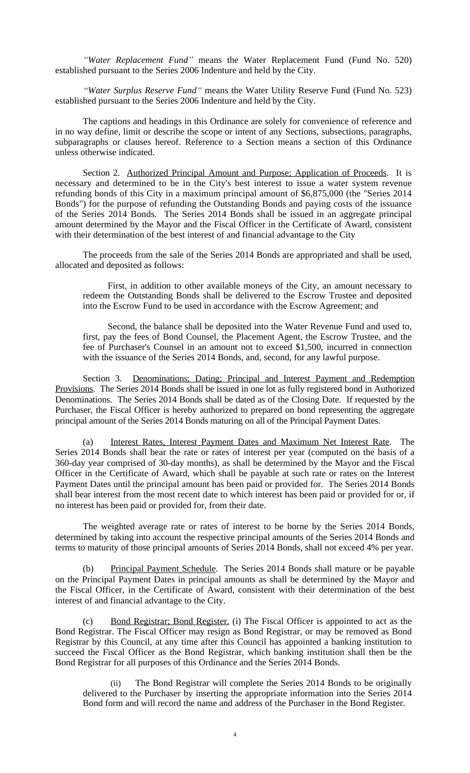*"Water Replacement Fund"* means the Water Replacement Fund (Fund No. 520) established pursuant to the Series 2006 Indenture and held by the City.

*"Water Surplus Reserve Fund"* means the Water Utility Reserve Fund (Fund No. 523) established pursuant to the Series 2006 Indenture and held by the City.

The captions and headings in this Ordinance are solely for convenience of reference and in no way define, limit or describe the scope or intent of any Sections, subsections, paragraphs, subparagraphs or clauses hereof. Reference to a Section means a section of this Ordinance unless otherwise indicated.

Section 2. Authorized Principal Amount and Purpose; Application of Proceeds. It is necessary and determined to be in the City's best interest to issue a water system revenue refunding bonds of this City in a maximum principal amount of \$6,875,000 (the "Series 2014 Bonds") for the purpose of refunding the Outstanding Bonds and paying costs of the issuance of the Series 2014 Bonds. The Series 2014 Bonds shall be issued in an aggregate principal amount determined by the Mayor and the Fiscal Officer in the Certificate of Award, consistent with their determination of the best interest of and financial advantage to the City

The proceeds from the sale of the Series 2014 Bonds are appropriated and shall be used, allocated and deposited as follows:

First, in addition to other available moneys of the City, an amount necessary to redeem the Outstanding Bonds shall be delivered to the Escrow Trustee and deposited into the Escrow Fund to be used in accordance with the Escrow Agreement; and

Second, the balance shall be deposited into the Water Revenue Fund and used to, first, pay the fees of Bond Counsel, the Placement Agent, the Escrow Trustee, and the fee of Purchaser's Counsel in an amount not to exceed \$1,500, incurred in connection with the issuance of the Series 2014 Bonds, and, second, for any lawful purpose.

Section 3. Denominations; Dating; Principal and Interest Payment and Redemption Provisions. The Series 2014 Bonds shall be issued in one lot as fully registered bond in Authorized Denominations. The Series 2014 Bonds shall be dated as of the Closing Date. If requested by the Purchaser, the Fiscal Officer is hereby authorized to prepared on bond representing the aggregate principal amount of the Series 2014 Bonds maturing on all of the Principal Payment Dates.

(a) Interest Rates, Interest Payment Dates and Maximum Net Interest Rate. The Series 2014 Bonds shall bear the rate or rates of interest per year (computed on the basis of a 360-day year comprised of 30-day months), as shall be determined by the Mayor and the Fiscal Officer in the Certificate of Award, which shall be payable at such rate or rates on the Interest Payment Dates until the principal amount has been paid or provided for. The Series 2014 Bonds shall bear interest from the most recent date to which interest has been paid or provided for or, if no interest has been paid or provided for, from their date.

The weighted average rate or rates of interest to be borne by the Series 2014 Bonds, determined by taking into account the respective principal amounts of the Series 2014 Bonds and terms to maturity of those principal amounts of Series 2014 Bonds, shall not exceed 4% per year.

(b) Principal Payment Schedule. The Series 2014 Bonds shall mature or be payable on the Principal Payment Dates in principal amounts as shall be determined by the Mayor and the Fiscal Officer, in the Certificate of Award, consistent with their determination of the best interest of and financial advantage to the City.

(c) Bond Registrar; Bond Register. (i) The Fiscal Officer is appointed to act as the Bond Registrar. The Fiscal Officer may resign as Bond Registrar, or may be removed as Bond Registrar by this Council, at any time after this Council has appointed a banking institution to succeed the Fiscal Officer as the Bond Registrar, which banking institution shall then be the Bond Registrar for all purposes of this Ordinance and the Series 2014 Bonds.

(ii) The Bond Registrar will complete the Series 2014 Bonds to be originally delivered to the Purchaser by inserting the appropriate information into the Series 2014 Bond form and will record the name and address of the Purchaser in the Bond Register.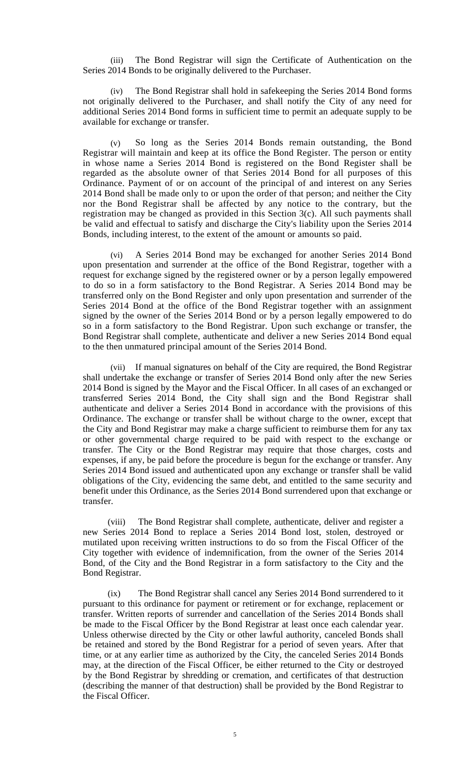(iii) The Bond Registrar will sign the Certificate of Authentication on the Series 2014 Bonds to be originally delivered to the Purchaser.

(iv) The Bond Registrar shall hold in safekeeping the Series 2014 Bond forms not originally delivered to the Purchaser, and shall notify the City of any need for additional Series 2014 Bond forms in sufficient time to permit an adequate supply to be available for exchange or transfer.

(v) So long as the Series 2014 Bonds remain outstanding, the Bond Registrar will maintain and keep at its office the Bond Register. The person or entity in whose name a Series 2014 Bond is registered on the Bond Register shall be regarded as the absolute owner of that Series 2014 Bond for all purposes of this Ordinance. Payment of or on account of the principal of and interest on any Series 2014 Bond shall be made only to or upon the order of that person; and neither the City nor the Bond Registrar shall be affected by any notice to the contrary, but the registration may be changed as provided in this Section 3(c). All such payments shall be valid and effectual to satisfy and discharge the City's liability upon the Series 2014 Bonds, including interest, to the extent of the amount or amounts so paid.

(vi) A Series 2014 Bond may be exchanged for another Series 2014 Bond upon presentation and surrender at the office of the Bond Registrar, together with a request for exchange signed by the registered owner or by a person legally empowered to do so in a form satisfactory to the Bond Registrar. A Series 2014 Bond may be transferred only on the Bond Register and only upon presentation and surrender of the Series 2014 Bond at the office of the Bond Registrar together with an assignment signed by the owner of the Series 2014 Bond or by a person legally empowered to do so in a form satisfactory to the Bond Registrar. Upon such exchange or transfer, the Bond Registrar shall complete, authenticate and deliver a new Series 2014 Bond equal to the then unmatured principal amount of the Series 2014 Bond.

(vii) If manual signatures on behalf of the City are required, the Bond Registrar shall undertake the exchange or transfer of Series 2014 Bond only after the new Series 2014 Bond is signed by the Mayor and the Fiscal Officer. In all cases of an exchanged or transferred Series 2014 Bond, the City shall sign and the Bond Registrar shall authenticate and deliver a Series 2014 Bond in accordance with the provisions of this Ordinance. The exchange or transfer shall be without charge to the owner, except that the City and Bond Registrar may make a charge sufficient to reimburse them for any tax or other governmental charge required to be paid with respect to the exchange or transfer. The City or the Bond Registrar may require that those charges, costs and expenses, if any, be paid before the procedure is begun for the exchange or transfer. Any Series 2014 Bond issued and authenticated upon any exchange or transfer shall be valid obligations of the City, evidencing the same debt, and entitled to the same security and benefit under this Ordinance, as the Series 2014 Bond surrendered upon that exchange or transfer.

(viii) The Bond Registrar shall complete, authenticate, deliver and register a new Series 2014 Bond to replace a Series 2014 Bond lost, stolen, destroyed or mutilated upon receiving written instructions to do so from the Fiscal Officer of the City together with evidence of indemnification, from the owner of the Series 2014 Bond, of the City and the Bond Registrar in a form satisfactory to the City and the Bond Registrar.

(ix) The Bond Registrar shall cancel any Series 2014 Bond surrendered to it pursuant to this ordinance for payment or retirement or for exchange, replacement or transfer. Written reports of surrender and cancellation of the Series 2014 Bonds shall be made to the Fiscal Officer by the Bond Registrar at least once each calendar year. Unless otherwise directed by the City or other lawful authority, canceled Bonds shall be retained and stored by the Bond Registrar for a period of seven years. After that time, or at any earlier time as authorized by the City, the canceled Series 2014 Bonds may, at the direction of the Fiscal Officer, be either returned to the City or destroyed by the Bond Registrar by shredding or cremation, and certificates of that destruction (describing the manner of that destruction) shall be provided by the Bond Registrar to the Fiscal Officer.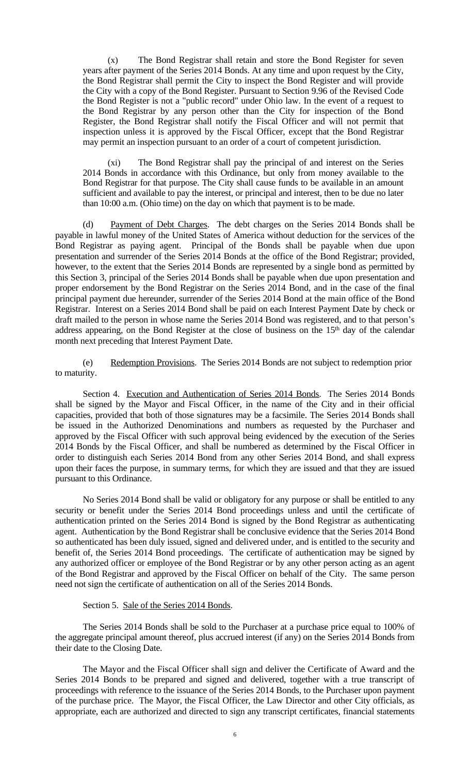(x) The Bond Registrar shall retain and store the Bond Register for seven years after payment of the Series 2014 Bonds. At any time and upon request by the City, the Bond Registrar shall permit the City to inspect the Bond Register and will provide the City with a copy of the Bond Register. Pursuant to Section 9.96 of the Revised Code the Bond Register is not a "public record" under Ohio law. In the event of a request to the Bond Registrar by any person other than the City for inspection of the Bond Register, the Bond Registrar shall notify the Fiscal Officer and will not permit that inspection unless it is approved by the Fiscal Officer, except that the Bond Registrar may permit an inspection pursuant to an order of a court of competent jurisdiction.

(xi) The Bond Registrar shall pay the principal of and interest on the Series 2014 Bonds in accordance with this Ordinance, but only from money available to the Bond Registrar for that purpose. The City shall cause funds to be available in an amount sufficient and available to pay the interest, or principal and interest, then to be due no later than 10:00 a.m. (Ohio time) on the day on which that payment is to be made.

(d) Payment of Debt Charges. The debt charges on the Series 2014 Bonds shall be payable in lawful money of the United States of America without deduction for the services of the Bond Registrar as paying agent. Principal of the Bonds shall be payable when due upon presentation and surrender of the Series 2014 Bonds at the office of the Bond Registrar; provided, however, to the extent that the Series 2014 Bonds are represented by a single bond as permitted by this Section 3, principal of the Series 2014 Bonds shall be payable when due upon presentation and proper endorsement by the Bond Registrar on the Series 2014 Bond, and in the case of the final principal payment due hereunder, surrender of the Series 2014 Bond at the main office of the Bond Registrar. Interest on a Series 2014 Bond shall be paid on each Interest Payment Date by check or draft mailed to the person in whose name the Series 2014 Bond was registered, and to that person's address appearing, on the Bond Register at the close of business on the 15<sup>th</sup> day of the calendar month next preceding that Interest Payment Date.

(e) Redemption Provisions. The Series 2014 Bonds are not subject to redemption prior to maturity.

Section 4. Execution and Authentication of Series 2014 Bonds. The Series 2014 Bonds shall be signed by the Mayor and Fiscal Officer, in the name of the City and in their official capacities, provided that both of those signatures may be a facsimile. The Series 2014 Bonds shall be issued in the Authorized Denominations and numbers as requested by the Purchaser and approved by the Fiscal Officer with such approval being evidenced by the execution of the Series 2014 Bonds by the Fiscal Officer, and shall be numbered as determined by the Fiscal Officer in order to distinguish each Series 2014 Bond from any other Series 2014 Bond, and shall express upon their faces the purpose, in summary terms, for which they are issued and that they are issued pursuant to this Ordinance.

No Series 2014 Bond shall be valid or obligatory for any purpose or shall be entitled to any security or benefit under the Series 2014 Bond proceedings unless and until the certificate of authentication printed on the Series 2014 Bond is signed by the Bond Registrar as authenticating agent. Authentication by the Bond Registrar shall be conclusive evidence that the Series 2014 Bond so authenticated has been duly issued, signed and delivered under, and is entitled to the security and benefit of, the Series 2014 Bond proceedings. The certificate of authentication may be signed by any authorized officer or employee of the Bond Registrar or by any other person acting as an agent of the Bond Registrar and approved by the Fiscal Officer on behalf of the City. The same person need not sign the certificate of authentication on all of the Series 2014 Bonds.

## Section 5. Sale of the Series 2014 Bonds.

The Series 2014 Bonds shall be sold to the Purchaser at a purchase price equal to 100% of the aggregate principal amount thereof, plus accrued interest (if any) on the Series 2014 Bonds from their date to the Closing Date.

The Mayor and the Fiscal Officer shall sign and deliver the Certificate of Award and the Series 2014 Bonds to be prepared and signed and delivered, together with a true transcript of proceedings with reference to the issuance of the Series 2014 Bonds, to the Purchaser upon payment of the purchase price. The Mayor, the Fiscal Officer, the Law Director and other City officials, as appropriate, each are authorized and directed to sign any transcript certificates, financial statements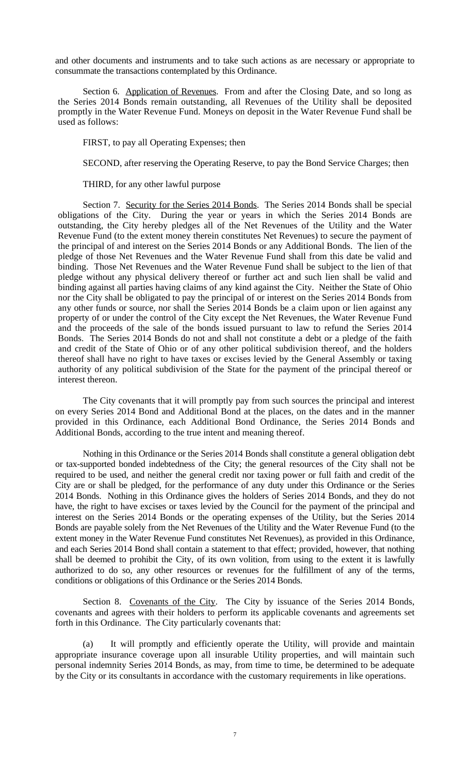and other documents and instruments and to take such actions as are necessary or appropriate to consummate the transactions contemplated by this Ordinance.

Section 6. Application of Revenues. From and after the Closing Date, and so long as the Series 2014 Bonds remain outstanding, all Revenues of the Utility shall be deposited promptly in the Water Revenue Fund. Moneys on deposit in the Water Revenue Fund shall be used as follows:

FIRST, to pay all Operating Expenses; then

SECOND, after reserving the Operating Reserve, to pay the Bond Service Charges; then

THIRD, for any other lawful purpose

Section 7. Security for the Series 2014 Bonds. The Series 2014 Bonds shall be special obligations of the City. During the year or years in which the Series 2014 Bonds are outstanding, the City hereby pledges all of the Net Revenues of the Utility and the Water Revenue Fund (to the extent money therein constitutes Net Revenues) to secure the payment of the principal of and interest on the Series 2014 Bonds or any Additional Bonds. The lien of the pledge of those Net Revenues and the Water Revenue Fund shall from this date be valid and binding. Those Net Revenues and the Water Revenue Fund shall be subject to the lien of that pledge without any physical delivery thereof or further act and such lien shall be valid and binding against all parties having claims of any kind against the City. Neither the State of Ohio nor the City shall be obligated to pay the principal of or interest on the Series 2014 Bonds from any other funds or source, nor shall the Series 2014 Bonds be a claim upon or lien against any property of or under the control of the City except the Net Revenues, the Water Revenue Fund and the proceeds of the sale of the bonds issued pursuant to law to refund the Series 2014 Bonds. The Series 2014 Bonds do not and shall not constitute a debt or a pledge of the faith and credit of the State of Ohio or of any other political subdivision thereof, and the holders thereof shall have no right to have taxes or excises levied by the General Assembly or taxing authority of any political subdivision of the State for the payment of the principal thereof or interest thereon.

The City covenants that it will promptly pay from such sources the principal and interest on every Series 2014 Bond and Additional Bond at the places, on the dates and in the manner provided in this Ordinance, each Additional Bond Ordinance, the Series 2014 Bonds and Additional Bonds, according to the true intent and meaning thereof.

Nothing in this Ordinance or the Series 2014 Bonds shall constitute a general obligation debt or tax-supported bonded indebtedness of the City; the general resources of the City shall not be required to be used, and neither the general credit nor taxing power or full faith and credit of the City are or shall be pledged, for the performance of any duty under this Ordinance or the Series 2014 Bonds. Nothing in this Ordinance gives the holders of Series 2014 Bonds, and they do not have, the right to have excises or taxes levied by the Council for the payment of the principal and interest on the Series 2014 Bonds or the operating expenses of the Utility, but the Series 2014 Bonds are payable solely from the Net Revenues of the Utility and the Water Revenue Fund (to the extent money in the Water Revenue Fund constitutes Net Revenues), as provided in this Ordinance, and each Series 2014 Bond shall contain a statement to that effect; provided, however, that nothing shall be deemed to prohibit the City, of its own volition, from using to the extent it is lawfully authorized to do so, any other resources or revenues for the fulfillment of any of the terms, conditions or obligations of this Ordinance or the Series 2014 Bonds.

Section 8. Covenants of the City. The City by issuance of the Series 2014 Bonds, covenants and agrees with their holders to perform its applicable covenants and agreements set forth in this Ordinance. The City particularly covenants that:

(a) It will promptly and efficiently operate the Utility, will provide and maintain appropriate insurance coverage upon all insurable Utility properties, and will maintain such personal indemnity Series 2014 Bonds, as may, from time to time, be determined to be adequate by the City or its consultants in accordance with the customary requirements in like operations.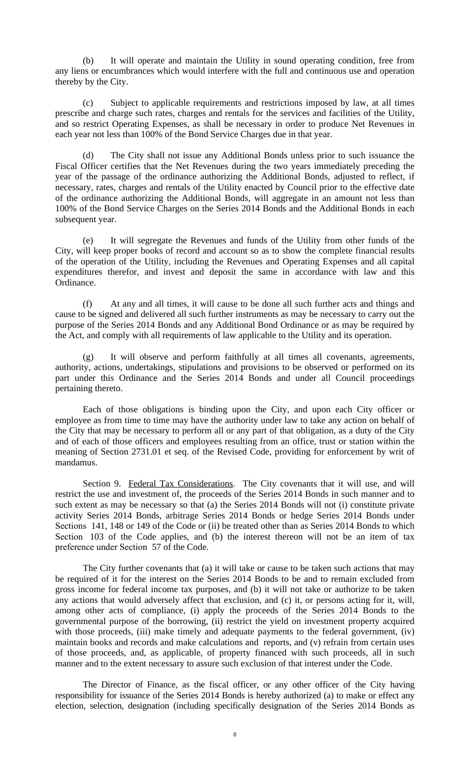(b) It will operate and maintain the Utility in sound operating condition, free from any liens or encumbrances which would interfere with the full and continuous use and operation thereby by the City.

(c) Subject to applicable requirements and restrictions imposed by law, at all times prescribe and charge such rates, charges and rentals for the services and facilities of the Utility, and so restrict Operating Expenses, as shall be necessary in order to produce Net Revenues in each year not less than 100% of the Bond Service Charges due in that year.

(d) The City shall not issue any Additional Bonds unless prior to such issuance the Fiscal Officer certifies that the Net Revenues during the two years immediately preceding the year of the passage of the ordinance authorizing the Additional Bonds, adjusted to reflect, if necessary, rates, charges and rentals of the Utility enacted by Council prior to the effective date of the ordinance authorizing the Additional Bonds, will aggregate in an amount not less than 100% of the Bond Service Charges on the Series 2014 Bonds and the Additional Bonds in each subsequent year.

(e) It will segregate the Revenues and funds of the Utility from other funds of the City, will keep proper books of record and account so as to show the complete financial results of the operation of the Utility, including the Revenues and Operating Expenses and all capital expenditures therefor, and invest and deposit the same in accordance with law and this Ordinance.

(f) At any and all times, it will cause to be done all such further acts and things and cause to be signed and delivered all such further instruments as may be necessary to carry out the purpose of the Series 2014 Bonds and any Additional Bond Ordinance or as may be required by the Act, and comply with all requirements of law applicable to the Utility and its operation.

(g) It will observe and perform faithfully at all times all covenants, agreements, authority, actions, undertakings, stipulations and provisions to be observed or performed on its part under this Ordinance and the Series 2014 Bonds and under all Council proceedings pertaining thereto.

Each of those obligations is binding upon the City, and upon each City officer or employee as from time to time may have the authority under law to take any action on behalf of the City that may be necessary to perform all or any part of that obligation, as a duty of the City and of each of those officers and employees resulting from an office, trust or station within the meaning of Section 2731.01 et seq. of the Revised Code, providing for enforcement by writ of mandamus.

Section 9. Federal Tax Considerations. The City covenants that it will use, and will restrict the use and investment of, the proceeds of the Series 2014 Bonds in such manner and to such extent as may be necessary so that (a) the Series 2014 Bonds will not (i) constitute private activity Series 2014 Bonds, arbitrage Series 2014 Bonds or hedge Series 2014 Bonds under Sections 141, 148 or 149 of the Code or (ii) be treated other than as Series 2014 Bonds to which Section 103 of the Code applies, and (b) the interest thereon will not be an item of tax preference under Section 57 of the Code.

The City further covenants that (a) it will take or cause to be taken such actions that may be required of it for the interest on the Series 2014 Bonds to be and to remain excluded from gross income for federal income tax purposes, and (b) it will not take or authorize to be taken any actions that would adversely affect that exclusion, and (c) it, or persons acting for it, will, among other acts of compliance, (i) apply the proceeds of the Series 2014 Bonds to the governmental purpose of the borrowing, (ii) restrict the yield on investment property acquired with those proceeds, (iii) make timely and adequate payments to the federal government, (iv) maintain books and records and make calculations and reports, and (v) refrain from certain uses of those proceeds, and, as applicable, of property financed with such proceeds, all in such manner and to the extent necessary to assure such exclusion of that interest under the Code.

The Director of Finance, as the fiscal officer, or any other officer of the City having responsibility for issuance of the Series 2014 Bonds is hereby authorized (a) to make or effect any election, selection, designation (including specifically designation of the Series 2014 Bonds as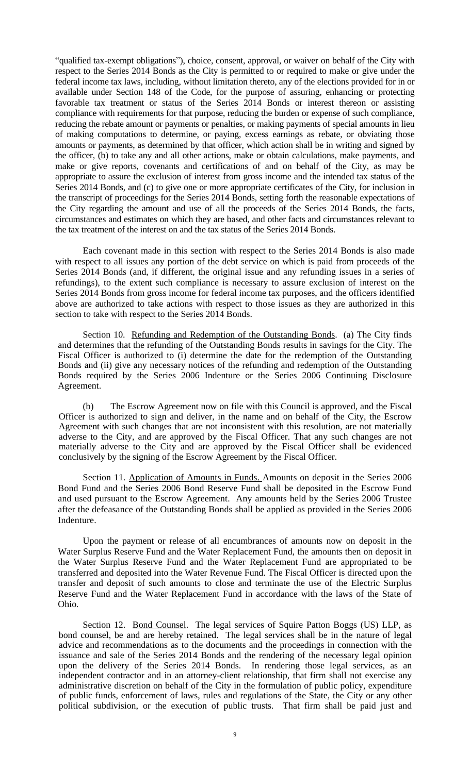"qualified tax-exempt obligations"), choice, consent, approval, or waiver on behalf of the City with respect to the Series 2014 Bonds as the City is permitted to or required to make or give under the federal income tax laws, including, without limitation thereto, any of the elections provided for in or available under Section 148 of the Code, for the purpose of assuring, enhancing or protecting favorable tax treatment or status of the Series 2014 Bonds or interest thereon or assisting compliance with requirements for that purpose, reducing the burden or expense of such compliance, reducing the rebate amount or payments or penalties, or making payments of special amounts in lieu of making computations to determine, or paying, excess earnings as rebate, or obviating those amounts or payments, as determined by that officer, which action shall be in writing and signed by the officer, (b) to take any and all other actions, make or obtain calculations, make payments, and make or give reports, covenants and certifications of and on behalf of the City, as may be appropriate to assure the exclusion of interest from gross income and the intended tax status of the Series 2014 Bonds, and (c) to give one or more appropriate certificates of the City, for inclusion in the transcript of proceedings for the Series 2014 Bonds, setting forth the reasonable expectations of the City regarding the amount and use of all the proceeds of the Series 2014 Bonds, the facts, circumstances and estimates on which they are based, and other facts and circumstances relevant to the tax treatment of the interest on and the tax status of the Series 2014 Bonds.

Each covenant made in this section with respect to the Series 2014 Bonds is also made with respect to all issues any portion of the debt service on which is paid from proceeds of the Series 2014 Bonds (and, if different, the original issue and any refunding issues in a series of refundings), to the extent such compliance is necessary to assure exclusion of interest on the Series 2014 Bonds from gross income for federal income tax purposes, and the officers identified above are authorized to take actions with respect to those issues as they are authorized in this section to take with respect to the Series 2014 Bonds.

Section 10. Refunding and Redemption of the Outstanding Bonds. (a) The City finds and determines that the refunding of the Outstanding Bonds results in savings for the City. The Fiscal Officer is authorized to (i) determine the date for the redemption of the Outstanding Bonds and (ii) give any necessary notices of the refunding and redemption of the Outstanding Bonds required by the Series 2006 Indenture or the Series 2006 Continuing Disclosure Agreement.

(b) The Escrow Agreement now on file with this Council is approved, and the Fiscal Officer is authorized to sign and deliver, in the name and on behalf of the City, the Escrow Agreement with such changes that are not inconsistent with this resolution, are not materially adverse to the City, and are approved by the Fiscal Officer. That any such changes are not materially adverse to the City and are approved by the Fiscal Officer shall be evidenced conclusively by the signing of the Escrow Agreement by the Fiscal Officer.

Section 11. Application of Amounts in Funds. Amounts on deposit in the Series 2006 Bond Fund and the Series 2006 Bond Reserve Fund shall be deposited in the Escrow Fund and used pursuant to the Escrow Agreement. Any amounts held by the Series 2006 Trustee after the defeasance of the Outstanding Bonds shall be applied as provided in the Series 2006 Indenture.

Upon the payment or release of all encumbrances of amounts now on deposit in the Water Surplus Reserve Fund and the Water Replacement Fund, the amounts then on deposit in the Water Surplus Reserve Fund and the Water Replacement Fund are appropriated to be transferred and deposited into the Water Revenue Fund. The Fiscal Officer is directed upon the transfer and deposit of such amounts to close and terminate the use of the Electric Surplus Reserve Fund and the Water Replacement Fund in accordance with the laws of the State of Ohio.

Section 12. Bond Counsel. The legal services of Squire Patton Boggs (US) LLP, as bond counsel, be and are hereby retained. The legal services shall be in the nature of legal advice and recommendations as to the documents and the proceedings in connection with the issuance and sale of the Series 2014 Bonds and the rendering of the necessary legal opinion upon the delivery of the Series 2014 Bonds. In rendering those legal services, as an independent contractor and in an attorney-client relationship, that firm shall not exercise any administrative discretion on behalf of the City in the formulation of public policy, expenditure of public funds, enforcement of laws, rules and regulations of the State, the City or any other political subdivision, or the execution of public trusts. That firm shall be paid just and